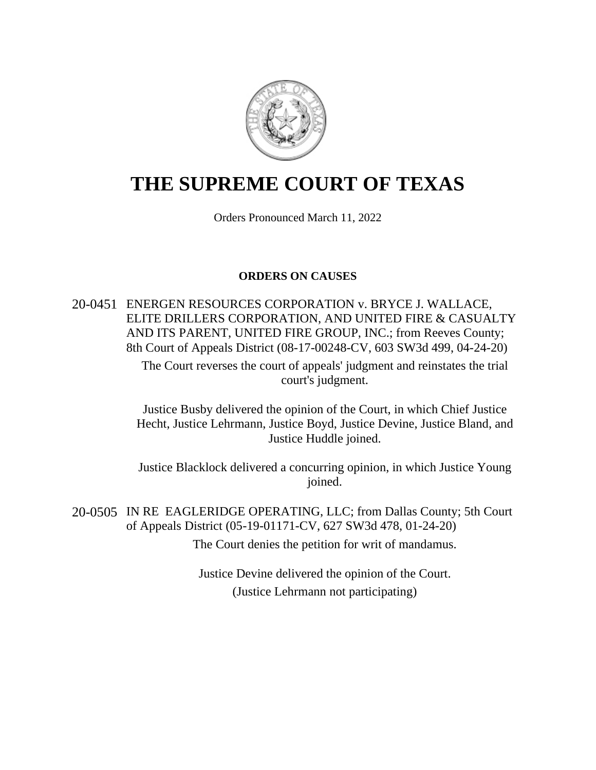

# **THE SUPREME COURT OF TEXAS**

Orders Pronounced March 11, 2022

## **ORDERS ON CAUSES**

20-0451 ENERGEN RESOURCES CORPORATION v. BRYCE J. WALLACE, ELITE DRILLERS CORPORATION, AND UNITED FIRE & CASUALTY AND ITS PARENT, UNITED FIRE GROUP, INC.; from Reeves County; 8th Court of Appeals District (08-17-00248-CV, 603 SW3d 499, 04-24-20)

> The Court reverses the court of appeals' judgment and reinstates the trial court's judgment.

Justice Busby delivered the opinion of the Court, in which Chief Justice Hecht, Justice Lehrmann, Justice Boyd, Justice Devine, Justice Bland, and Justice Huddle joined.

Justice Blacklock delivered a concurring opinion, in which Justice Young joined.

20-0505 IN RE EAGLERIDGE OPERATING, LLC; from Dallas County; 5th Court of Appeals District (05-19-01171-CV, 627 SW3d 478, 01-24-20) The Court denies the petition for writ of mandamus.

> Justice Devine delivered the opinion of the Court. (Justice Lehrmann not participating)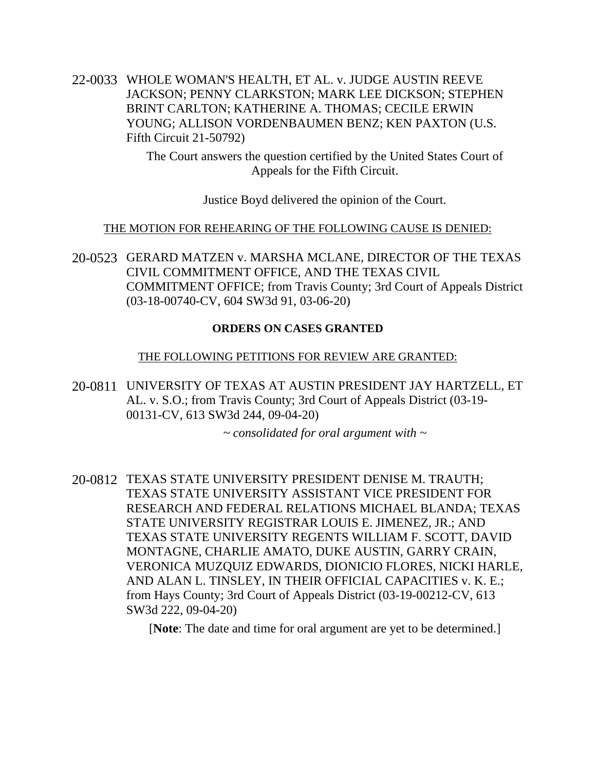22-0033 WHOLE WOMAN'S HEALTH, ET AL. v. JUDGE AUSTIN REEVE JACKSON; PENNY CLARKSTON; MARK LEE DICKSON; STEPHEN BRINT CARLTON; KATHERINE A. THOMAS; CECILE ERWIN YOUNG; ALLISON VORDENBAUMEN BENZ; KEN PAXTON (U.S. Fifth Circuit 21-50792)

> The Court answers the question certified by the United States Court of Appeals for the Fifth Circuit.

> > Justice Boyd delivered the opinion of the Court.

## THE MOTION FOR REHEARING OF THE FOLLOWING CAUSE IS DENIED:

20-0523 GERARD MATZEN v. MARSHA MCLANE, DIRECTOR OF THE TEXAS CIVIL COMMITMENT OFFICE, AND THE TEXAS CIVIL COMMITMENT OFFICE; from Travis County; 3rd Court of Appeals District (03-18-00740-CV, 604 SW3d 91, 03-06-20)

## **ORDERS ON CASES GRANTED**

## THE FOLLOWING PETITIONS FOR REVIEW ARE GRANTED:

20-0811 UNIVERSITY OF TEXAS AT AUSTIN PRESIDENT JAY HARTZELL, ET AL. v. S.O.; from Travis County; 3rd Court of Appeals District (03-19- 00131-CV, 613 SW3d 244, 09-04-20)

*~ consolidated for oral argument with ~*

20-0812 TEXAS STATE UNIVERSITY PRESIDENT DENISE M. TRAUTH; TEXAS STATE UNIVERSITY ASSISTANT VICE PRESIDENT FOR RESEARCH AND FEDERAL RELATIONS MICHAEL BLANDA; TEXAS STATE UNIVERSITY REGISTRAR LOUIS E. JIMENEZ, JR.; AND TEXAS STATE UNIVERSITY REGENTS WILLIAM F. SCOTT, DAVID MONTAGNE, CHARLIE AMATO, DUKE AUSTIN, GARRY CRAIN, VERONICA MUZQUIZ EDWARDS, DIONICIO FLORES, NICKI HARLE, AND ALAN L. TINSLEY, IN THEIR OFFICIAL CAPACITIES v. K. E.; from Hays County; 3rd Court of Appeals District (03-19-00212-CV, 613 SW3d 222, 09-04-20)

[**Note**: The date and time for oral argument are yet to be determined.]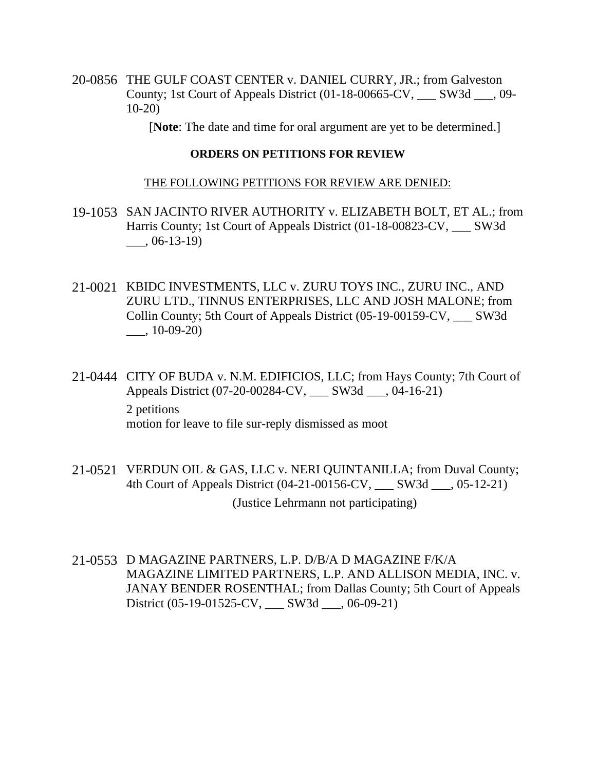20-0856 THE GULF COAST CENTER v. DANIEL CURRY, JR.; from Galveston County; 1st Court of Appeals District (01-18-00665-CV, \_\_\_ SW3d \_\_\_, 09- 10-20)

[**Note**: The date and time for oral argument are yet to be determined.]

#### **ORDERS ON PETITIONS FOR REVIEW**

#### THE FOLLOWING PETITIONS FOR REVIEW ARE DENIED:

- 19-1053 SAN JACINTO RIVER AUTHORITY v. ELIZABETH BOLT, ET AL.; from Harris County; 1st Court of Appeals District (01-18-00823-CV, SW3d  $\frac{1}{2}$ , 06-13-19)
- 21-0021 KBIDC INVESTMENTS, LLC v. ZURU TOYS INC., ZURU INC., AND ZURU LTD., TINNUS ENTERPRISES, LLC AND JOSH MALONE; from Collin County; 5th Court of Appeals District (05-19-00159-CV, \_\_\_ SW3d  $\frac{10-09-20}{20}$
- 21-0444 CITY OF BUDA v. N.M. EDIFICIOS, LLC; from Hays County; 7th Court of Appeals District (07-20-00284-CV, \_\_\_ SW3d \_\_\_, 04-16-21) 2 petitions motion for leave to file sur-reply dismissed as moot
- 21-0521 VERDUN OIL & GAS, LLC v. NERI QUINTANILLA; from Duval County; 4th Court of Appeals District (04-21-00156-CV, \_\_\_ SW3d \_\_\_, 05-12-21)

(Justice Lehrmann not participating)

21-0553 D MAGAZINE PARTNERS, L.P. D/B/A D MAGAZINE F/K/A MAGAZINE LIMITED PARTNERS, L.P. AND ALLISON MEDIA, INC. v. JANAY BENDER ROSENTHAL; from Dallas County; 5th Court of Appeals District (05-19-01525-CV, \_\_\_ SW3d \_\_\_, 06-09-21)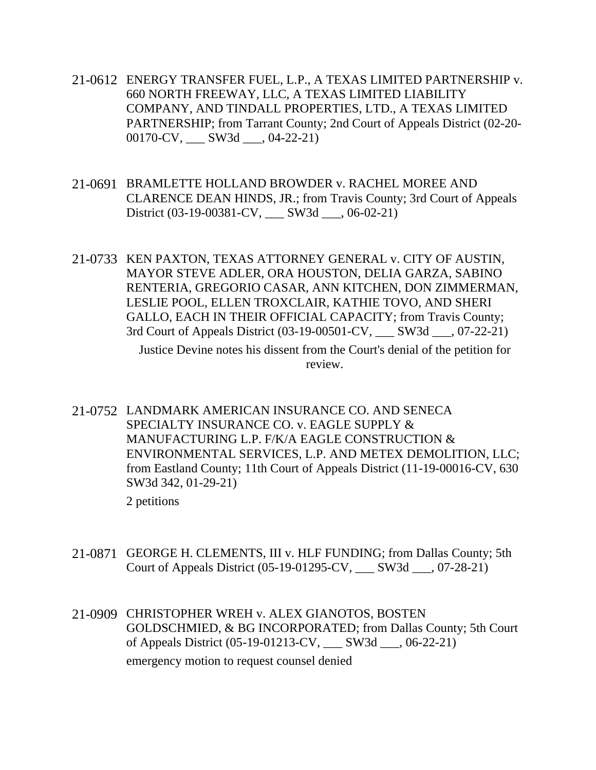- 21-0612 ENERGY TRANSFER FUEL, L.P., A TEXAS LIMITED PARTNERSHIP v. 660 NORTH FREEWAY, LLC, A TEXAS LIMITED LIABILITY COMPANY, AND TINDALL PROPERTIES, LTD., A TEXAS LIMITED PARTNERSHIP; from Tarrant County; 2nd Court of Appeals District (02-20- 00170-CV, \_\_\_ SW3d \_\_\_, 04-22-21)
- 21-0691 BRAMLETTE HOLLAND BROWDER v. RACHEL MOREE AND CLARENCE DEAN HINDS, JR.; from Travis County; 3rd Court of Appeals District (03-19-00381-CV, \_\_\_ SW3d \_\_\_, 06-02-21)
- 21-0733 KEN PAXTON, TEXAS ATTORNEY GENERAL v. CITY OF AUSTIN, MAYOR STEVE ADLER, ORA HOUSTON, DELIA GARZA, SABINO RENTERIA, GREGORIO CASAR, ANN KITCHEN, DON ZIMMERMAN, LESLIE POOL, ELLEN TROXCLAIR, KATHIE TOVO, AND SHERI GALLO, EACH IN THEIR OFFICIAL CAPACITY; from Travis County; 3rd Court of Appeals District (03-19-00501-CV, \_\_\_ SW3d \_\_\_, 07-22-21)

Justice Devine notes his dissent from the Court's denial of the petition for review.

21-0752 LANDMARK AMERICAN INSURANCE CO. AND SENECA SPECIALTY INSURANCE CO. v. EAGLE SUPPLY & MANUFACTURING L.P. F/K/A EAGLE CONSTRUCTION & ENVIRONMENTAL SERVICES, L.P. AND METEX DEMOLITION, LLC; from Eastland County; 11th Court of Appeals District (11-19-00016-CV, 630 SW3d 342, 01-29-21)

2 petitions

- 21-0871 GEORGE H. CLEMENTS, III v. HLF FUNDING; from Dallas County; 5th Court of Appeals District (05-19-01295-CV, \_\_\_ SW3d \_\_\_, 07-28-21)
- 21-0909 CHRISTOPHER WREH v. ALEX GIANOTOS, BOSTEN GOLDSCHMIED, & BG INCORPORATED; from Dallas County; 5th Court of Appeals District (05-19-01213-CV, \_\_\_ SW3d \_\_\_, 06-22-21) emergency motion to request counsel denied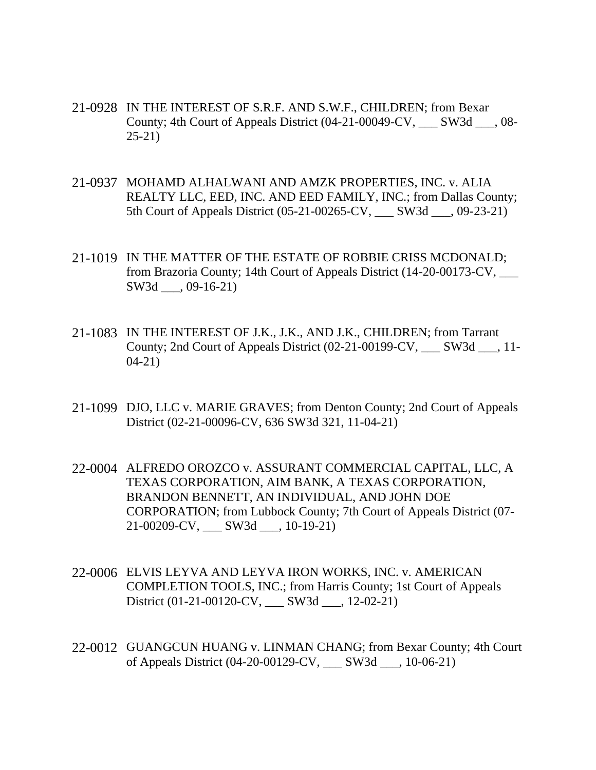- 21-0928 IN THE INTEREST OF S.R.F. AND S.W.F., CHILDREN; from Bexar County; 4th Court of Appeals District (04-21-00049-CV, \_\_\_ SW3d \_\_\_, 08- 25-21)
- 21-0937 MOHAMD ALHALWANI AND AMZK PROPERTIES, INC. v. ALIA REALTY LLC, EED, INC. AND EED FAMILY, INC.; from Dallas County; 5th Court of Appeals District (05-21-00265-CV, \_\_\_ SW3d \_\_\_, 09-23-21)
- 21-1019 IN THE MATTER OF THE ESTATE OF ROBBIE CRISS MCDONALD; from Brazoria County; 14th Court of Appeals District (14-20-00173-CV, \_\_\_ SW3d \_\_\_, 09-16-21)
- 21-1083 IN THE INTEREST OF J.K., J.K., AND J.K., CHILDREN; from Tarrant County; 2nd Court of Appeals District (02-21-00199-CV, \_\_\_ SW3d \_\_\_, 11- 04-21)
- 21-1099 DJO, LLC v. MARIE GRAVES; from Denton County; 2nd Court of Appeals District (02-21-00096-CV, 636 SW3d 321, 11-04-21)
- 22-0004 ALFREDO OROZCO v. ASSURANT COMMERCIAL CAPITAL, LLC, A TEXAS CORPORATION, AIM BANK, A TEXAS CORPORATION, BRANDON BENNETT, AN INDIVIDUAL, AND JOHN DOE CORPORATION; from Lubbock County; 7th Court of Appeals District (07- 21-00209-CV, \_\_\_ SW3d \_\_\_, 10-19-21)
- 22-0006 ELVIS LEYVA AND LEYVA IRON WORKS, INC. v. AMERICAN COMPLETION TOOLS, INC.; from Harris County; 1st Court of Appeals District (01-21-00120-CV, \_\_\_ SW3d \_\_\_, 12-02-21)
- 22-0012 GUANGCUN HUANG v. LINMAN CHANG; from Bexar County; 4th Court of Appeals District (04-20-00129-CV, \_\_\_ SW3d \_\_\_, 10-06-21)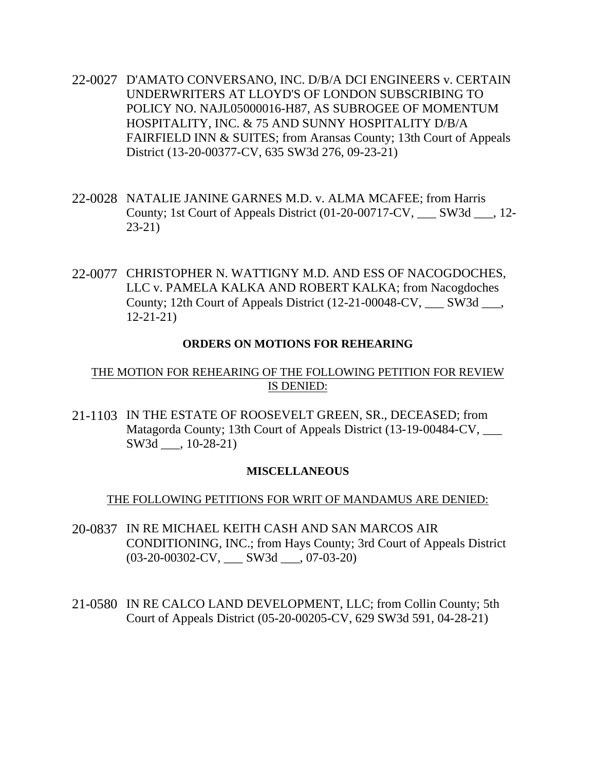- 22-0027 D'AMATO CONVERSANO, INC. D/B/A DCI ENGINEERS v. CERTAIN UNDERWRITERS AT LLOYD'S OF LONDON SUBSCRIBING TO POLICY NO. NAJL05000016-H87, AS SUBROGEE OF MOMENTUM HOSPITALITY, INC. & 75 AND SUNNY HOSPITALITY D/B/A FAIRFIELD INN & SUITES; from Aransas County; 13th Court of Appeals District (13-20-00377-CV, 635 SW3d 276, 09-23-21)
- 22-0028 NATALIE JANINE GARNES M.D. v. ALMA MCAFEE; from Harris County; 1st Court of Appeals District (01-20-00717-CV, \_\_\_ SW3d \_\_\_, 12- 23-21)
- 22-0077 CHRISTOPHER N. WATTIGNY M.D. AND ESS OF NACOGDOCHES, LLC v. PAMELA KALKA AND ROBERT KALKA; from Nacogdoches County; 12th Court of Appeals District (12-21-00048-CV, \_\_\_ SW3d \_\_\_, 12-21-21)

#### **ORDERS ON MOTIONS FOR REHEARING**

## THE MOTION FOR REHEARING OF THE FOLLOWING PETITION FOR REVIEW IS DENIED:

21-1103 IN THE ESTATE OF ROOSEVELT GREEN, SR., DECEASED; from Matagorda County; 13th Court of Appeals District (13-19-00484-CV, SW3d \_\_\_, 10-28-21)

#### **MISCELLANEOUS**

#### THE FOLLOWING PETITIONS FOR WRIT OF MANDAMUS ARE DENIED:

- 20-0837 IN RE MICHAEL KEITH CASH AND SAN MARCOS AIR CONDITIONING, INC.; from Hays County; 3rd Court of Appeals District (03-20-00302-CV, \_\_\_ SW3d \_\_\_, 07-03-20)
- 21-0580 IN RE CALCO LAND DEVELOPMENT, LLC; from Collin County; 5th Court of Appeals District (05-20-00205-CV, 629 SW3d 591, 04-28-21)